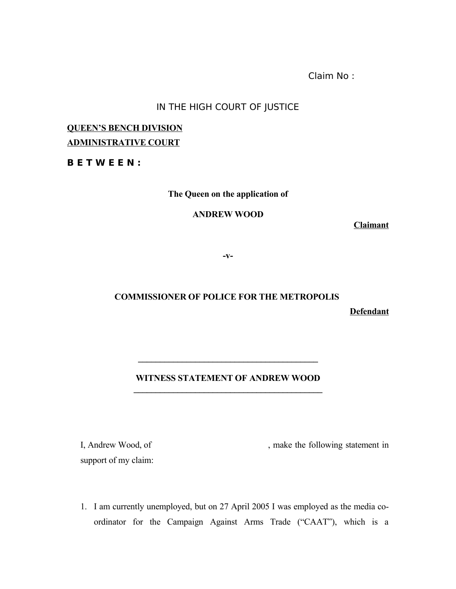Claim No :

### IN THE HIGH COURT OF JUSTICE

# **QUEEN'S BENCH DIVISION ADMINISTRATIVE COURT**

**B E T W E E N :**

**The Queen on the application of**

**ANDREW WOOD**

**Claimant**

**-v-**

# **COMMISSIONER OF POLICE FOR THE METROPOLIS**

**Defendant**

## **WITNESS STATEMENT OF ANDREW WOOD**  $\mathcal{L} = \{ \mathcal{L} \}$

**\_\_\_\_\_\_\_\_\_\_\_\_\_\_\_\_\_\_\_\_\_\_\_\_\_\_\_\_\_\_\_\_\_\_\_\_\_\_\_\_\_**

support of my claim:

I, Andrew Wood, of , make the following statement in

1. I am currently unemployed, but on 27 April 2005 I was employed as the media coordinator for the Campaign Against Arms Trade ("CAAT"), which is a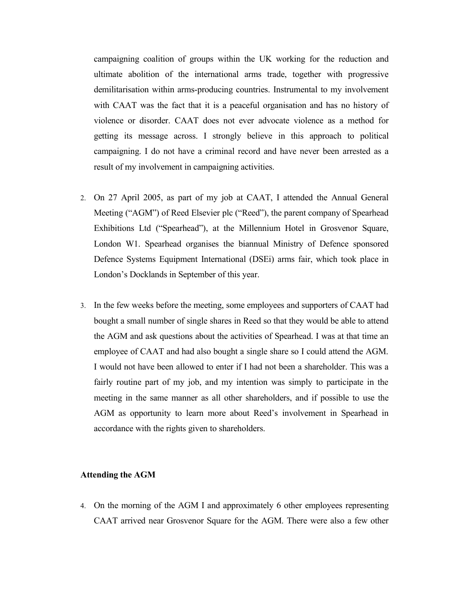campaigning coalition of groups within the UK working for the reduction and ultimate abolition of the international arms trade, together with progressive demilitarisation within arms-producing countries. Instrumental to my involvement with CAAT was the fact that it is a peaceful organisation and has no history of violence or disorder. CAAT does not ever advocate violence as a method for getting its message across. I strongly believe in this approach to political campaigning. I do not have a criminal record and have never been arrested as a result of my involvement in campaigning activities.

- 2. On 27 April 2005, as part of my job at CAAT, I attended the Annual General Meeting ("AGM") of Reed Elsevier plc ("Reed"), the parent company of Spearhead Exhibitions Ltd ("Spearhead"), at the Millennium Hotel in Grosvenor Square, London W1. Spearhead organises the biannual Ministry of Defence sponsored Defence Systems Equipment International (DSEi) arms fair, which took place in London's Docklands in September of this year.
- 3. In the few weeks before the meeting, some employees and supporters of CAAT had bought a small number of single shares in Reed so that they would be able to attend the AGM and ask questions about the activities of Spearhead. I was at that time an employee of CAAT and had also bought a single share so I could attend the AGM. I would not have been allowed to enter if I had not been a shareholder. This was a fairly routine part of my job, and my intention was simply to participate in the meeting in the same manner as all other shareholders, and if possible to use the AGM as opportunity to learn more about Reed's involvement in Spearhead in accordance with the rights given to shareholders.

#### **Attending the AGM**

4. On the morning of the AGM I and approximately 6 other employees representing CAAT arrived near Grosvenor Square for the AGM. There were also a few other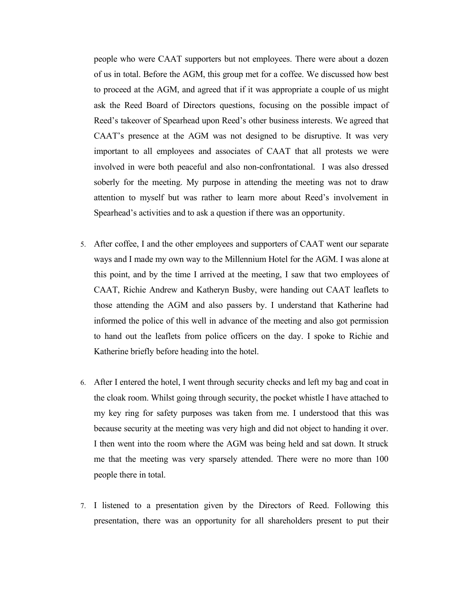people who were CAAT supporters but not employees. There were about a dozen of us in total. Before the AGM, this group met for a coffee. We discussed how best to proceed at the AGM, and agreed that if it was appropriate a couple of us might ask the Reed Board of Directors questions, focusing on the possible impact of Reed's takeover of Spearhead upon Reed's other business interests. We agreed that CAAT's presence at the AGM was not designed to be disruptive. It was very important to all employees and associates of CAAT that all protests we were involved in were both peaceful and also non-confrontational. I was also dressed soberly for the meeting. My purpose in attending the meeting was not to draw attention to myself but was rather to learn more about Reed's involvement in Spearhead's activities and to ask a question if there was an opportunity.

- 5. After coffee, I and the other employees and supporters of CAAT went our separate ways and I made my own way to the Millennium Hotel for the AGM. I was alone at this point, and by the time I arrived at the meeting, I saw that two employees of CAAT, Richie Andrew and Katheryn Busby, were handing out CAAT leaflets to those attending the AGM and also passers by. I understand that Katherine had informed the police of this well in advance of the meeting and also got permission to hand out the leaflets from police officers on the day. I spoke to Richie and Katherine briefly before heading into the hotel.
- 6. After I entered the hotel, I went through security checks and left my bag and coat in the cloak room. Whilst going through security, the pocket whistle I have attached to my key ring for safety purposes was taken from me. I understood that this was because security at the meeting was very high and did not object to handing it over. I then went into the room where the AGM was being held and sat down. It struck me that the meeting was very sparsely attended. There were no more than 100 people there in total.
- 7. I listened to a presentation given by the Directors of Reed. Following this presentation, there was an opportunity for all shareholders present to put their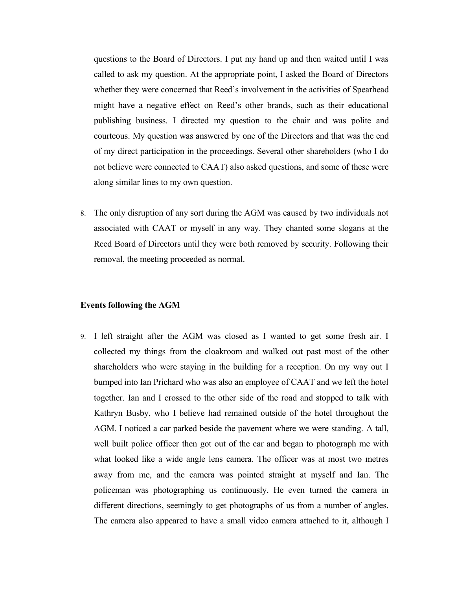questions to the Board of Directors. I put my hand up and then waited until I was called to ask my question. At the appropriate point, I asked the Board of Directors whether they were concerned that Reed's involvement in the activities of Spearhead might have a negative effect on Reed's other brands, such as their educational publishing business. I directed my question to the chair and was polite and courteous. My question was answered by one of the Directors and that was the end of my direct participation in the proceedings. Several other shareholders (who I do not believe were connected to CAAT) also asked questions, and some of these were along similar lines to my own question.

8. The only disruption of any sort during the AGM was caused by two individuals not associated with CAAT or myself in any way. They chanted some slogans at the Reed Board of Directors until they were both removed by security. Following their removal, the meeting proceeded as normal.

#### **Events following the AGM**

9. I left straight after the AGM was closed as I wanted to get some fresh air. I collected my things from the cloakroom and walked out past most of the other shareholders who were staying in the building for a reception. On my way out I bumped into Ian Prichard who was also an employee of CAAT and we left the hotel together. Ian and I crossed to the other side of the road and stopped to talk with Kathryn Busby, who I believe had remained outside of the hotel throughout the AGM. I noticed a car parked beside the pavement where we were standing. A tall, well built police officer then got out of the car and began to photograph me with what looked like a wide angle lens camera. The officer was at most two metres away from me, and the camera was pointed straight at myself and Ian. The policeman was photographing us continuously. He even turned the camera in different directions, seemingly to get photographs of us from a number of angles. The camera also appeared to have a small video camera attached to it, although I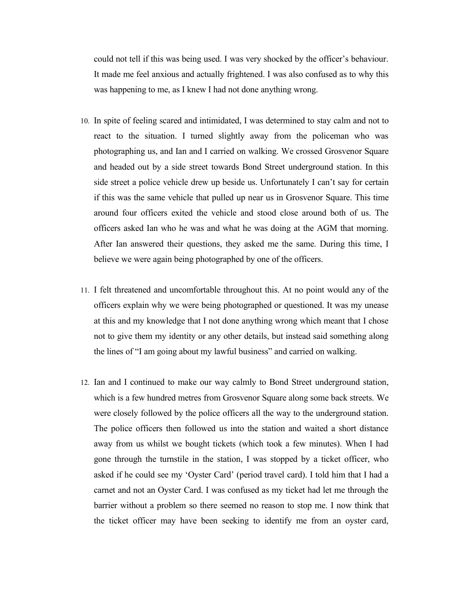could not tell if this was being used. I was very shocked by the officer's behaviour. It made me feel anxious and actually frightened. I was also confused as to why this was happening to me, as I knew I had not done anything wrong.

- 10. In spite of feeling scared and intimidated, I was determined to stay calm and not to react to the situation. I turned slightly away from the policeman who was photographing us, and Ian and I carried on walking. We crossed Grosvenor Square and headed out by a side street towards Bond Street underground station. In this side street a police vehicle drew up beside us. Unfortunately I can't say for certain if this was the same vehicle that pulled up near us in Grosvenor Square. This time around four officers exited the vehicle and stood close around both of us. The officers asked Ian who he was and what he was doing at the AGM that morning. After Ian answered their questions, they asked me the same. During this time, I believe we were again being photographed by one of the officers.
- 11. I felt threatened and uncomfortable throughout this. At no point would any of the officers explain why we were being photographed or questioned. It was my unease at this and my knowledge that I not done anything wrong which meant that I chose not to give them my identity or any other details, but instead said something along the lines of "I am going about my lawful business" and carried on walking.
- 12. Ian and I continued to make our way calmly to Bond Street underground station, which is a few hundred metres from Grosvenor Square along some back streets. We were closely followed by the police officers all the way to the underground station. The police officers then followed us into the station and waited a short distance away from us whilst we bought tickets (which took a few minutes). When I had gone through the turnstile in the station, I was stopped by a ticket officer, who asked if he could see my 'Oyster Card' (period travel card). I told him that I had a carnet and not an Oyster Card. I was confused as my ticket had let me through the barrier without a problem so there seemed no reason to stop me. I now think that the ticket officer may have been seeking to identify me from an oyster card,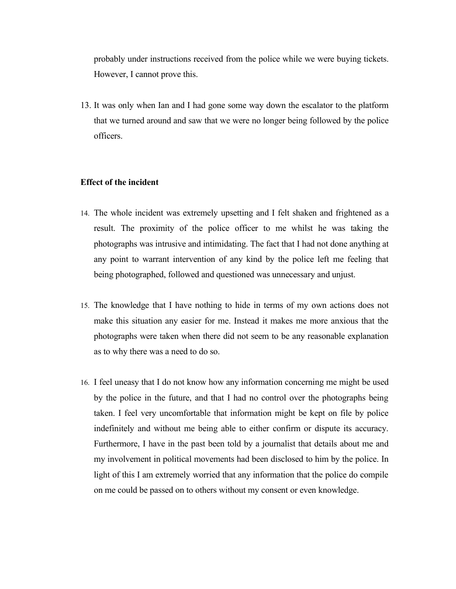probably under instructions received from the police while we were buying tickets. However, I cannot prove this.

13. It was only when Ian and I had gone some way down the escalator to the platform that we turned around and saw that we were no longer being followed by the police officers.

#### **Effect of the incident**

- 14. The whole incident was extremely upsetting and I felt shaken and frightened as a result. The proximity of the police officer to me whilst he was taking the photographs was intrusive and intimidating. The fact that I had not done anything at any point to warrant intervention of any kind by the police left me feeling that being photographed, followed and questioned was unnecessary and unjust.
- 15. The knowledge that I have nothing to hide in terms of my own actions does not make this situation any easier for me. Instead it makes me more anxious that the photographs were taken when there did not seem to be any reasonable explanation as to why there was a need to do so.
- 16. I feel uneasy that I do not know how any information concerning me might be used by the police in the future, and that I had no control over the photographs being taken. I feel very uncomfortable that information might be kept on file by police indefinitely and without me being able to either confirm or dispute its accuracy. Furthermore, I have in the past been told by a journalist that details about me and my involvement in political movements had been disclosed to him by the police. In light of this I am extremely worried that any information that the police do compile on me could be passed on to others without my consent or even knowledge.